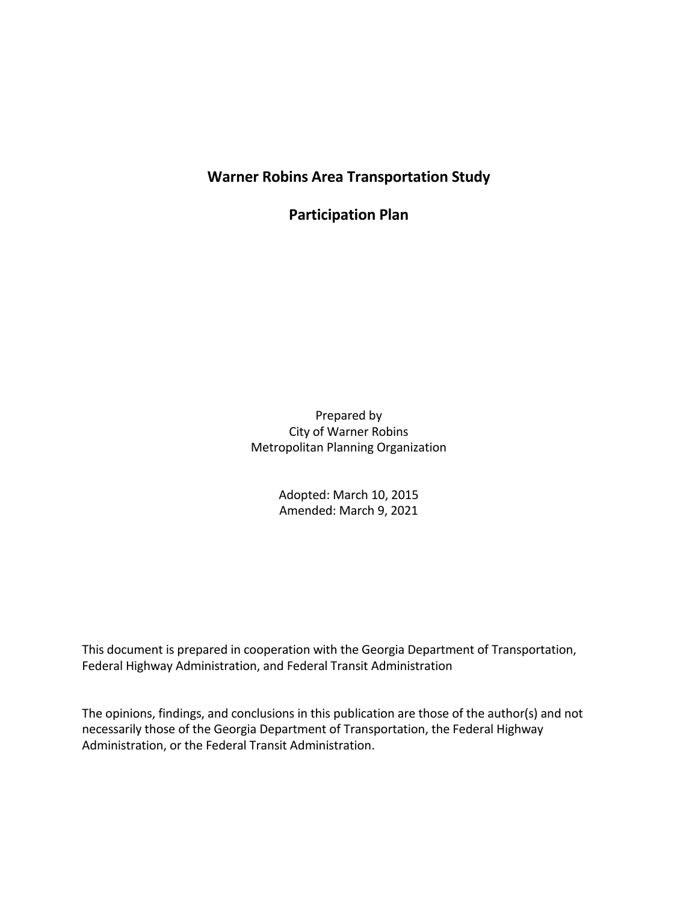## Warner Robins Area Transportation Study

Participation Plan

Prepared by City of Warner Robins Metropolitan Planning Organization

> Adopted: March 10, 2015 Amended: March 9, 2021

This document is prepared in cooperation with the Georgia Department of Transportation, Federal Highway Administration, and Federal Transit Administration

The opinions, findings, and conclusions in this publication are those of the author(s) and not necessarily those of the Georgia Department of Transportation, the Federal Highway Administration, or the Federal Transit Administration.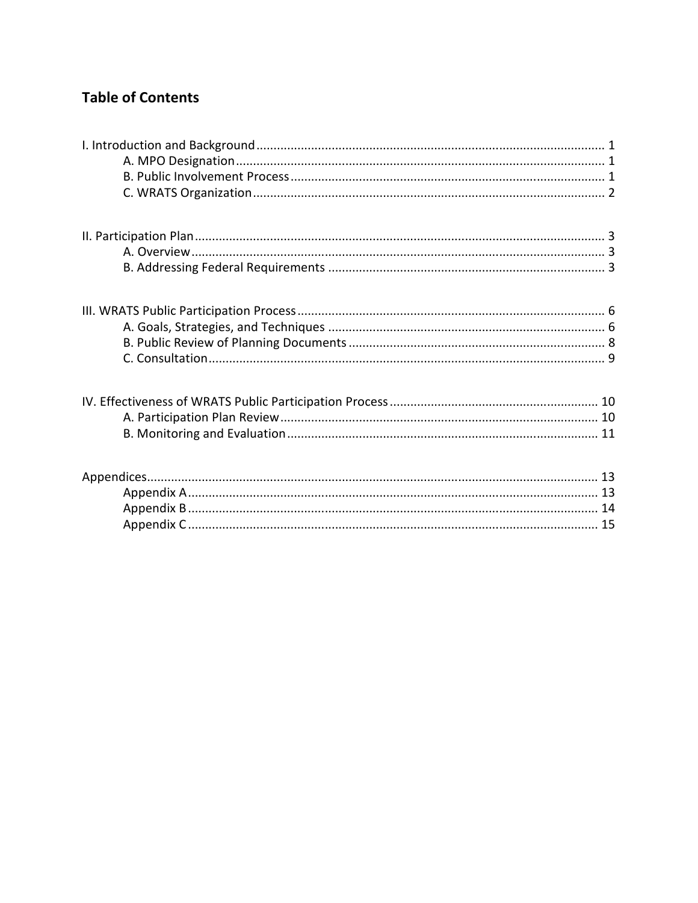# **Table of Contents**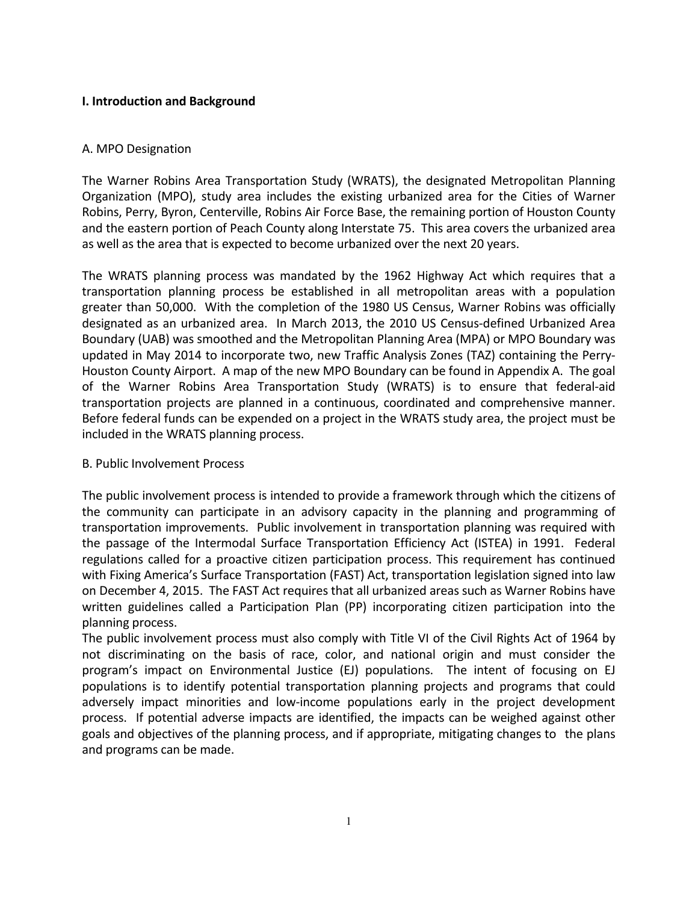## I. Introduction and Background

#### A. MPO Designation

The Warner Robins Area Transportation Study (WRATS), the designated Metropolitan Planning Organization (MPO), study area includes the existing urbanized area for the Cities of Warner Robins, Perry, Byron, Centerville, Robins Air Force Base, the remaining portion of Houston County and the eastern portion of Peach County along Interstate 75. This area covers the urbanized area as well as the area that is expected to become urbanized over the next 20 years.

The WRATS planning process was mandated by the 1962 Highway Act which requires that a transportation planning process be established in all metropolitan areas with a population greater than 50,000. With the completion of the 1980 US Census, Warner Robins was officially designated as an urbanized area. In March 2013, the 2010 US Census-defined Urbanized Area Boundary (UAB) was smoothed and the Metropolitan Planning Area (MPA) or MPO Boundary was updated in May 2014 to incorporate two, new Traffic Analysis Zones (TAZ) containing the Perry-Houston County Airport. A map of the new MPO Boundary can be found in Appendix A. The goal of the Warner Robins Area Transportation Study (WRATS) is to ensure that federal-aid transportation projects are planned in a continuous, coordinated and comprehensive manner. Before federal funds can be expended on a project in the WRATS study area, the project must be included in the WRATS planning process.

#### B. Public Involvement Process

The public involvement process is intended to provide a framework through which the citizens of the community can participate in an advisory capacity in the planning and programming of transportation improvements. Public involvement in transportation planning was required with the passage of the Intermodal Surface Transportation Efficiency Act (ISTEA) in 1991. Federal regulations called for a proactive citizen participation process. This requirement has continued with Fixing America's Surface Transportation (FAST) Act, transportation legislation signed into law on December 4, 2015. The FAST Act requires that all urbanized areas such as Warner Robins have written guidelines called a Participation Plan (PP) incorporating citizen participation into the planning process.

The public involvement process must also comply with Title VI of the Civil Rights Act of 1964 by not discriminating on the basis of race, color, and national origin and must consider the program's impact on Environmental Justice (EJ) populations. The intent of focusing on EJ populations is to identify potential transportation planning projects and programs that could adversely impact minorities and low-income populations early in the project development process. If potential adverse impacts are identified, the impacts can be weighed against other goals and objectives of the planning process, and if appropriate, mitigating changes to the plans and programs can be made.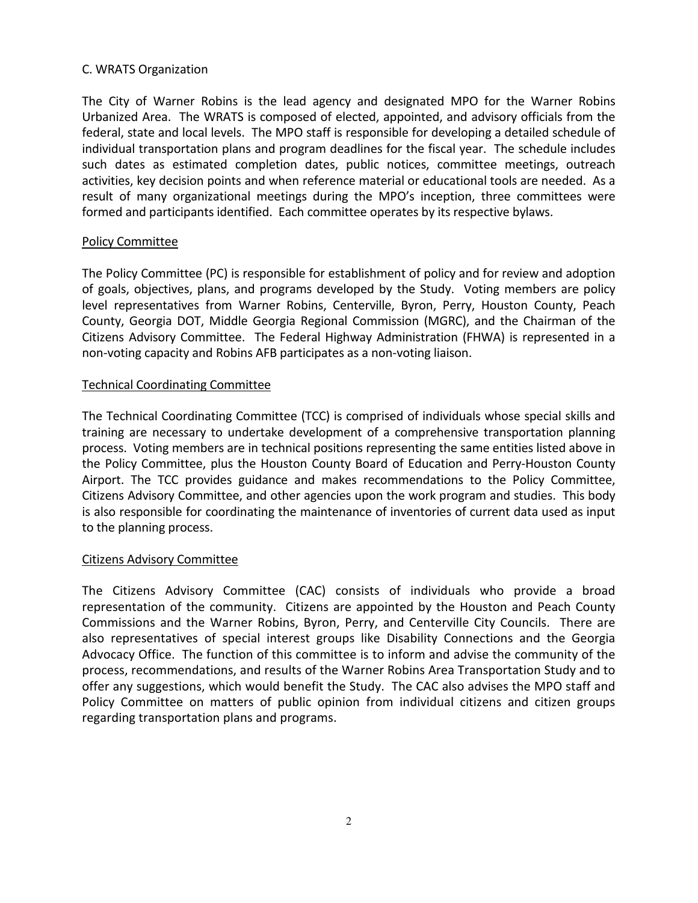## C. WRATS Organization

The City of Warner Robins is the lead agency and designated MPO for the Warner Robins Urbanized Area. The WRATS is composed of elected, appointed, and advisory officials from the federal, state and local levels. The MPO staff is responsible for developing a detailed schedule of individual transportation plans and program deadlines for the fiscal year. The schedule includes such dates as estimated completion dates, public notices, committee meetings, outreach activities, key decision points and when reference material or educational tools are needed. As a result of many organizational meetings during the MPO's inception, three committees were formed and participants identified. Each committee operates by its respective bylaws.

## Policy Committee

The Policy Committee (PC) is responsible for establishment of policy and for review and adoption of goals, objectives, plans, and programs developed by the Study. Voting members are policy level representatives from Warner Robins, Centerville, Byron, Perry, Houston County, Peach County, Georgia DOT, Middle Georgia Regional Commission (MGRC), and the Chairman of the Citizens Advisory Committee. The Federal Highway Administration (FHWA) is represented in a non-voting capacity and Robins AFB participates as a non-voting liaison.

## Technical Coordinating Committee

The Technical Coordinating Committee (TCC) is comprised of individuals whose special skills and training are necessary to undertake development of a comprehensive transportation planning process. Voting members are in technical positions representing the same entities listed above in the Policy Committee, plus the Houston County Board of Education and Perry-Houston County Airport. The TCC provides guidance and makes recommendations to the Policy Committee, Citizens Advisory Committee, and other agencies upon the work program and studies. This body is also responsible for coordinating the maintenance of inventories of current data used as input to the planning process.

#### Citizens Advisory Committee

The Citizens Advisory Committee (CAC) consists of individuals who provide a broad representation of the community. Citizens are appointed by the Houston and Peach County Commissions and the Warner Robins, Byron, Perry, and Centerville City Councils. There are also representatives of special interest groups like Disability Connections and the Georgia Advocacy Office. The function of this committee is to inform and advise the community of the process, recommendations, and results of the Warner Robins Area Transportation Study and to offer any suggestions, which would benefit the Study. The CAC also advises the MPO staff and Policy Committee on matters of public opinion from individual citizens and citizen groups regarding transportation plans and programs.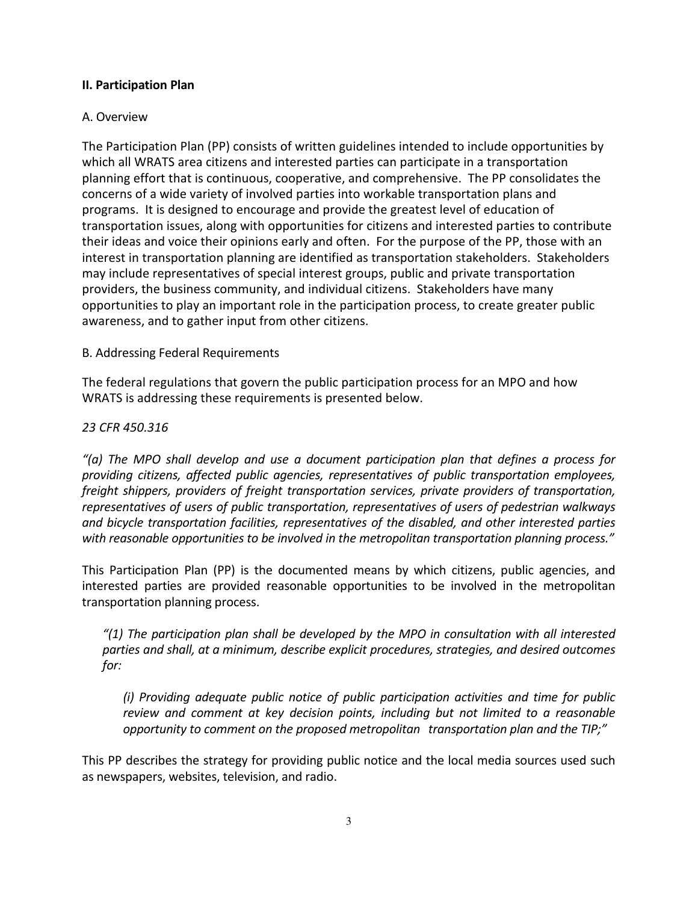## II. Participation Plan

## A. Overview

The Participation Plan (PP) consists of written guidelines intended to include opportunities by which all WRATS area citizens and interested parties can participate in a transportation planning effort that is continuous, cooperative, and comprehensive. The PP consolidates the concerns of a wide variety of involved parties into workable transportation plans and programs. It is designed to encourage and provide the greatest level of education of transportation issues, along with opportunities for citizens and interested parties to contribute their ideas and voice their opinions early and often. For the purpose of the PP, those with an interest in transportation planning are identified as transportation stakeholders. Stakeholders may include representatives of special interest groups, public and private transportation providers, the business community, and individual citizens. Stakeholders have many opportunities to play an important role in the participation process, to create greater public awareness, and to gather input from other citizens.

## B. Addressing Federal Requirements

The federal regulations that govern the public participation process for an MPO and how WRATS is addressing these requirements is presented below.

## 23 CFR 450.316

"(a) The MPO shall develop and use a document participation plan that defines a process for providing citizens, affected public agencies, representatives of public transportation employees, freight shippers, providers of freight transportation services, private providers of transportation, representatives of users of public transportation, representatives of users of pedestrian walkways and bicycle transportation facilities, representatives of the disabled, and other interested parties with reasonable opportunities to be involved in the metropolitan transportation planning process."

This Participation Plan (PP) is the documented means by which citizens, public agencies, and interested parties are provided reasonable opportunities to be involved in the metropolitan transportation planning process.

 $''(1)$  The participation plan shall be developed by the MPO in consultation with all interested parties and shall, at a minimum, describe explicit procedures, strategies, and desired outcomes for:

(i) Providing adequate public notice of public participation activities and time for public review and comment at key decision points, including but not limited to a reasonable opportunity to comment on the proposed metropolitan transportation plan and the TIP;"

This PP describes the strategy for providing public notice and the local media sources used such as newspapers, websites, television, and radio.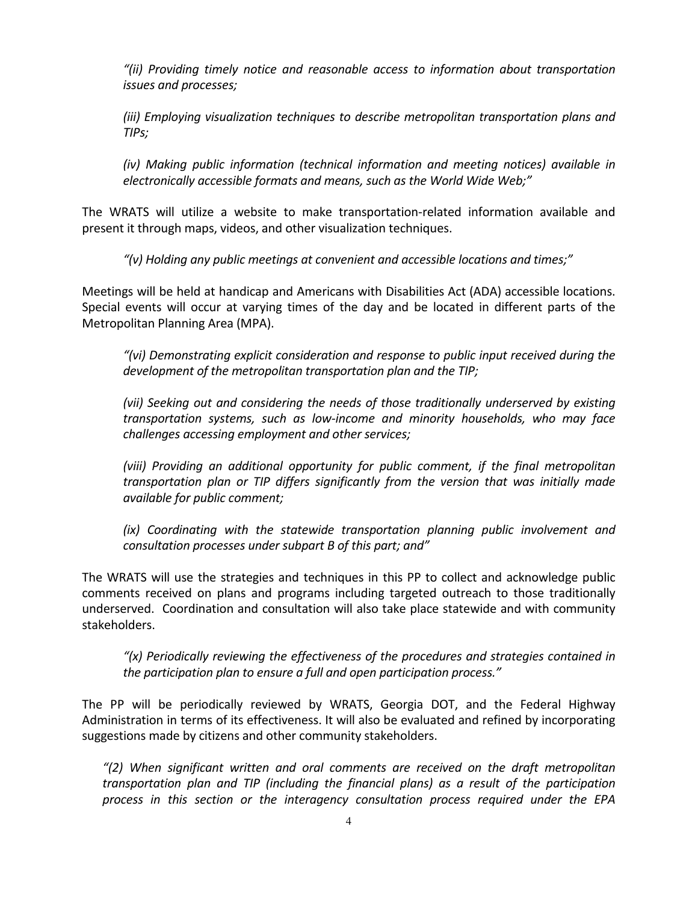"(ii) Providing timely notice and reasonable access to information about transportation issues and processes;

(iii) Employing visualization techniques to describe metropolitan transportation plans and TIPs;

(iv) Making public information (technical information and meeting notices) available in electronically accessible formats and means, such as the World Wide Web;"

The WRATS will utilize a website to make transportation-related information available and present it through maps, videos, and other visualization techniques.

"(v) Holding any public meetings at convenient and accessible locations and times;"

Meetings will be held at handicap and Americans with Disabilities Act (ADA) accessible locations. Special events will occur at varying times of the day and be located in different parts of the Metropolitan Planning Area (MPA).

"(vi) Demonstrating explicit consideration and response to public input received during the development of the metropolitan transportation plan and the TIP;

(vii) Seeking out and considering the needs of those traditionally underserved by existing transportation systems, such as low-income and minority households, who may face challenges accessing employment and other services;

(viii) Providing an additional opportunity for public comment, if the final metropolitan transportation plan or TIP differs significantly from the version that was initially made available for public comment;

(ix) Coordinating with the statewide transportation planning public involvement and consultation processes under subpart B of this part; and"

The WRATS will use the strategies and techniques in this PP to collect and acknowledge public comments received on plans and programs including targeted outreach to those traditionally underserved. Coordination and consultation will also take place statewide and with community stakeholders.

" $(x)$  Periodically reviewing the effectiveness of the procedures and strategies contained in the participation plan to ensure a full and open participation process."

The PP will be periodically reviewed by WRATS, Georgia DOT, and the Federal Highway Administration in terms of its effectiveness. It will also be evaluated and refined by incorporating suggestions made by citizens and other community stakeholders.

"(2) When significant written and oral comments are received on the draft metropolitan transportation plan and TIP (including the financial plans) as a result of the participation process in this section or the interagency consultation process required under the EPA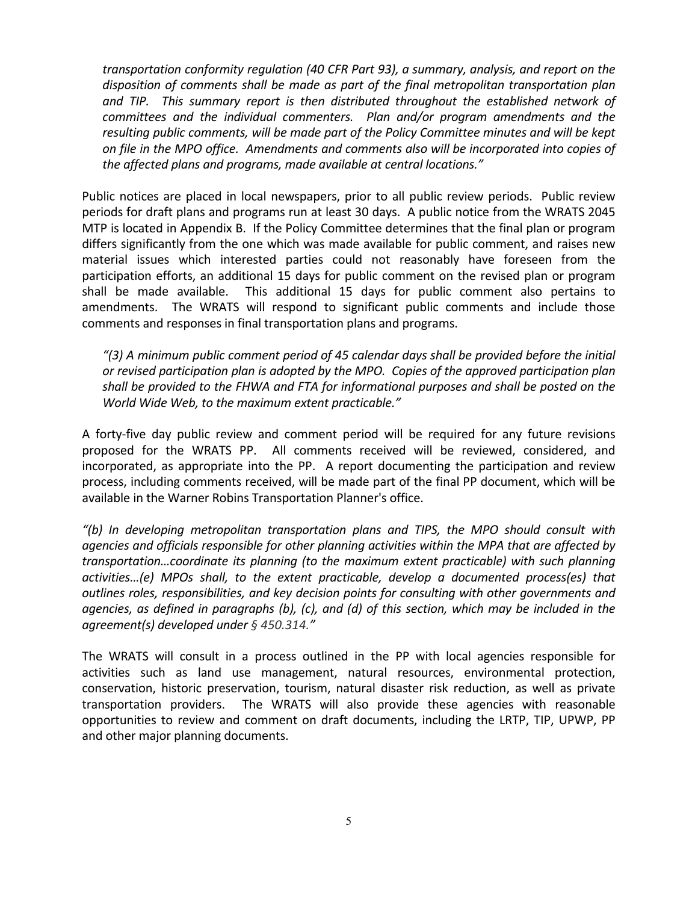transportation conformity regulation (40 CFR Part 93), a summary, analysis, and report on the disposition of comments shall be made as part of the final metropolitan transportation plan and TIP. This summary report is then distributed throughout the established network of committees and the individual commenters. Plan and/or program amendments and the resulting public comments, will be made part of the Policy Committee minutes and will be kept on file in the MPO office. Amendments and comments also will be incorporated into copies of the affected plans and programs, made available at central locations."

Public notices are placed in local newspapers, prior to all public review periods. Public review periods for draft plans and programs run at least 30 days. A public notice from the WRATS 2045 MTP is located in Appendix B. If the Policy Committee determines that the final plan or program differs significantly from the one which was made available for public comment, and raises new material issues which interested parties could not reasonably have foreseen from the participation efforts, an additional 15 days for public comment on the revised plan or program shall be made available. This additional 15 days for public comment also pertains to amendments. The WRATS will respond to significant public comments and include those comments and responses in final transportation plans and programs.

"(3) A minimum public comment period of 45 calendar days shall be provided before the initial or revised participation plan is adopted by the MPO. Copies of the approved participation plan shall be provided to the FHWA and FTA for informational purposes and shall be posted on the World Wide Web, to the maximum extent practicable."

A forty-five day public review and comment period will be required for any future revisions proposed for the WRATS PP. All comments received will be reviewed, considered, and incorporated, as appropriate into the PP. A report documenting the participation and review process, including comments received, will be made part of the final PP document, which will be available in the Warner Robins Transportation Planner's office.

"(b) In developing metropolitan transportation plans and TIPS, the MPO should consult with agencies and officials responsible for other planning activities within the MPA that are affected by transportation…coordinate its planning (to the maximum extent practicable) with such planning activities…(e) MPOs shall, to the extent practicable, develop a documented process(es) that outlines roles, responsibilities, and key decision points for consulting with other governments and agencies, as defined in paragraphs (b), (c), and (d) of this section, which may be included in the agreement(s) developed under § 450.314."

The WRATS will consult in a process outlined in the PP with local agencies responsible for activities such as land use management, natural resources, environmental protection, conservation, historic preservation, tourism, natural disaster risk reduction, as well as private transportation providers. The WRATS will also provide these agencies with reasonable opportunities to review and comment on draft documents, including the LRTP, TIP, UPWP, PP and other major planning documents.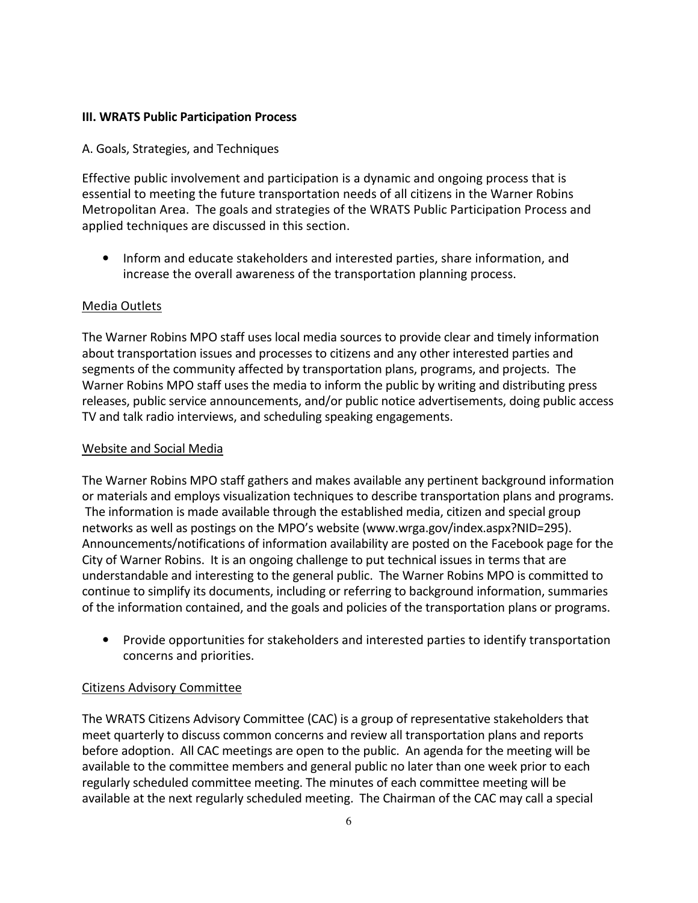## III. WRATS Public Participation Process

## A. Goals, Strategies, and Techniques

Effective public involvement and participation is a dynamic and ongoing process that is essential to meeting the future transportation needs of all citizens in the Warner Robins Metropolitan Area. The goals and strategies of the WRATS Public Participation Process and applied techniques are discussed in this section.

• Inform and educate stakeholders and interested parties, share information, and increase the overall awareness of the transportation planning process.

## Media Outlets

The Warner Robins MPO staff uses local media sources to provide clear and timely information about transportation issues and processes to citizens and any other interested parties and segments of the community affected by transportation plans, programs, and projects. The Warner Robins MPO staff uses the media to inform the public by writing and distributing press releases, public service announcements, and/or public notice advertisements, doing public access TV and talk radio interviews, and scheduling speaking engagements.

## Website and Social Media

The Warner Robins MPO staff gathers and makes available any pertinent background information or materials and employs visualization techniques to describe transportation plans and programs. The information is made available through the established media, citizen and special group networks as well as postings on the MPO's website (www.wrga.gov/index.aspx?NID=295). Announcements/notifications of information availability are posted on the Facebook page for the City of Warner Robins. It is an ongoing challenge to put technical issues in terms that are understandable and interesting to the general public. The Warner Robins MPO is committed to continue to simplify its documents, including or referring to background information, summaries of the information contained, and the goals and policies of the transportation plans or programs.

• Provide opportunities for stakeholders and interested parties to identify transportation concerns and priorities.

## Citizens Advisory Committee

The WRATS Citizens Advisory Committee (CAC) is a group of representative stakeholders that meet quarterly to discuss common concerns and review all transportation plans and reports before adoption. All CAC meetings are open to the public. An agenda for the meeting will be available to the committee members and general public no later than one week prior to each regularly scheduled committee meeting. The minutes of each committee meeting will be available at the next regularly scheduled meeting. The Chairman of the CAC may call a special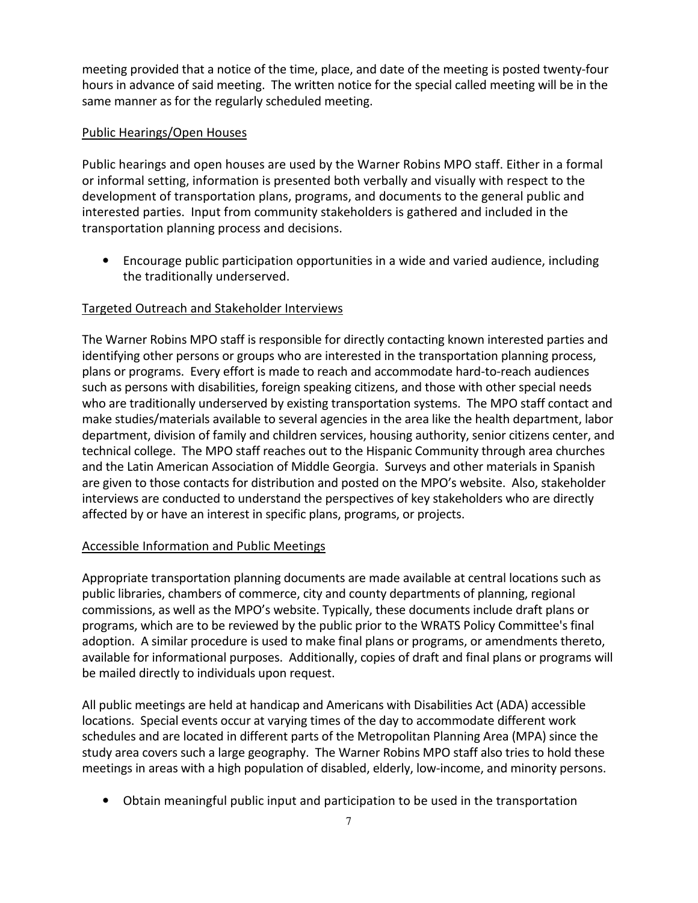meeting provided that a notice of the time, place, and date of the meeting is posted twenty-four hours in advance of said meeting. The written notice for the special called meeting will be in the same manner as for the regularly scheduled meeting.

## Public Hearings/Open Houses

Public hearings and open houses are used by the Warner Robins MPO staff. Either in a formal or informal setting, information is presented both verbally and visually with respect to the development of transportation plans, programs, and documents to the general public and interested parties. Input from community stakeholders is gathered and included in the transportation planning process and decisions.

• Encourage public participation opportunities in a wide and varied audience, including the traditionally underserved.

## Targeted Outreach and Stakeholder Interviews

The Warner Robins MPO staff is responsible for directly contacting known interested parties and identifying other persons or groups who are interested in the transportation planning process, plans or programs. Every effort is made to reach and accommodate hard-to-reach audiences such as persons with disabilities, foreign speaking citizens, and those with other special needs who are traditionally underserved by existing transportation systems. The MPO staff contact and make studies/materials available to several agencies in the area like the health department, labor department, division of family and children services, housing authority, senior citizens center, and technical college. The MPO staff reaches out to the Hispanic Community through area churches and the Latin American Association of Middle Georgia. Surveys and other materials in Spanish are given to those contacts for distribution and posted on the MPO's website. Also, stakeholder interviews are conducted to understand the perspectives of key stakeholders who are directly affected by or have an interest in specific plans, programs, or projects.

#### Accessible Information and Public Meetings

Appropriate transportation planning documents are made available at central locations such as public libraries, chambers of commerce, city and county departments of planning, regional commissions, as well as the MPO's website. Typically, these documents include draft plans or programs, which are to be reviewed by the public prior to the WRATS Policy Committee's final adoption. A similar procedure is used to make final plans or programs, or amendments thereto, available for informational purposes. Additionally, copies of draft and final plans or programs will be mailed directly to individuals upon request.

All public meetings are held at handicap and Americans with Disabilities Act (ADA) accessible locations. Special events occur at varying times of the day to accommodate different work schedules and are located in different parts of the Metropolitan Planning Area (MPA) since the study area covers such a large geography. The Warner Robins MPO staff also tries to hold these meetings in areas with a high population of disabled, elderly, low-income, and minority persons.

• Obtain meaningful public input and participation to be used in the transportation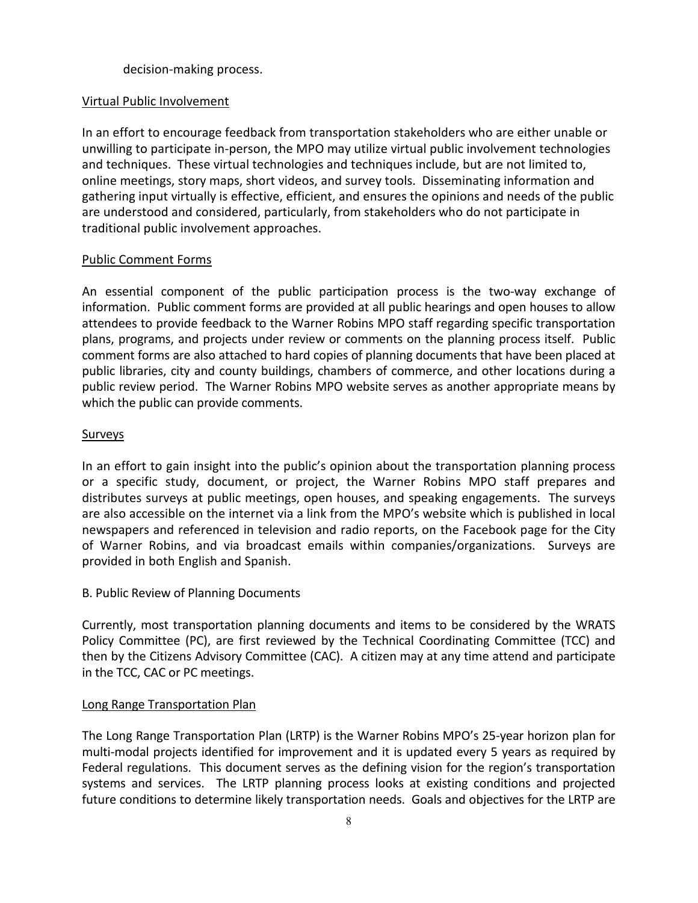## decision-making process.

## Virtual Public Involvement

In an effort to encourage feedback from transportation stakeholders who are either unable or unwilling to participate in-person, the MPO may utilize virtual public involvement technologies and techniques. These virtual technologies and techniques include, but are not limited to, online meetings, story maps, short videos, and survey tools. Disseminating information and gathering input virtually is effective, efficient, and ensures the opinions and needs of the public are understood and considered, particularly, from stakeholders who do not participate in traditional public involvement approaches.

## Public Comment Forms

An essential component of the public participation process is the two-way exchange of information. Public comment forms are provided at all public hearings and open houses to allow attendees to provide feedback to the Warner Robins MPO staff regarding specific transportation plans, programs, and projects under review or comments on the planning process itself. Public comment forms are also attached to hard copies of planning documents that have been placed at public libraries, city and county buildings, chambers of commerce, and other locations during a public review period. The Warner Robins MPO website serves as another appropriate means by which the public can provide comments.

## **Surveys**

In an effort to gain insight into the public's opinion about the transportation planning process or a specific study, document, or project, the Warner Robins MPO staff prepares and distributes surveys at public meetings, open houses, and speaking engagements. The surveys are also accessible on the internet via a link from the MPO's website which is published in local newspapers and referenced in television and radio reports, on the Facebook page for the City of Warner Robins, and via broadcast emails within companies/organizations. Surveys are provided in both English and Spanish.

#### B. Public Review of Planning Documents

Currently, most transportation planning documents and items to be considered by the WRATS Policy Committee (PC), are first reviewed by the Technical Coordinating Committee (TCC) and then by the Citizens Advisory Committee (CAC). A citizen may at any time attend and participate in the TCC, CAC or PC meetings.

#### Long Range Transportation Plan

The Long Range Transportation Plan (LRTP) is the Warner Robins MPO's 25-year horizon plan for multi-modal projects identified for improvement and it is updated every 5 years as required by Federal regulations. This document serves as the defining vision for the region's transportation systems and services. The LRTP planning process looks at existing conditions and projected future conditions to determine likely transportation needs. Goals and objectives for the LRTP are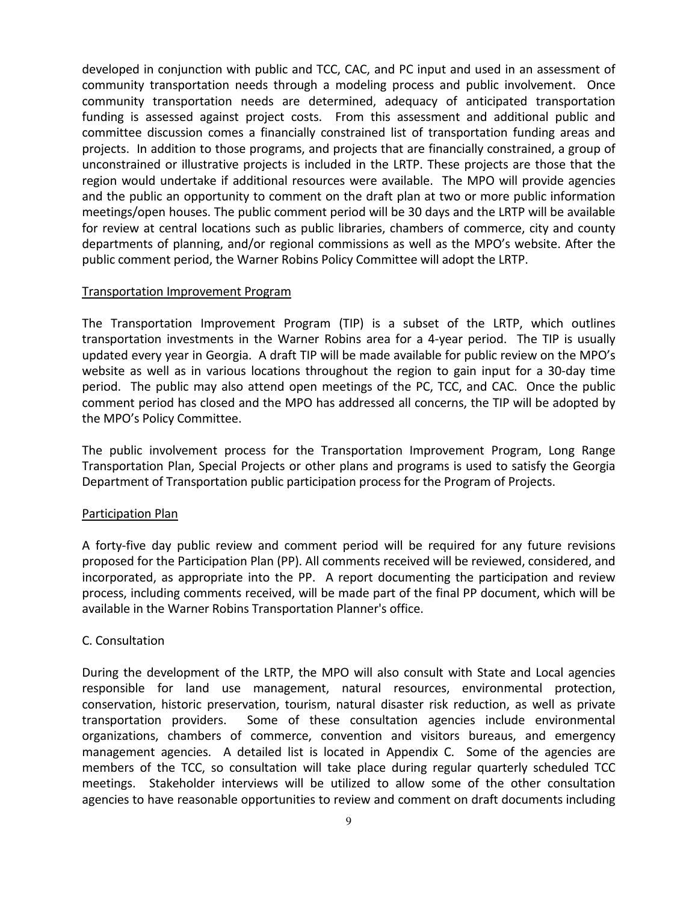developed in conjunction with public and TCC, CAC, and PC input and used in an assessment of community transportation needs through a modeling process and public involvement. Once community transportation needs are determined, adequacy of anticipated transportation funding is assessed against project costs. From this assessment and additional public and committee discussion comes a financially constrained list of transportation funding areas and projects. In addition to those programs, and projects that are financially constrained, a group of unconstrained or illustrative projects is included in the LRTP. These projects are those that the region would undertake if additional resources were available. The MPO will provide agencies and the public an opportunity to comment on the draft plan at two or more public information meetings/open houses. The public comment period will be 30 days and the LRTP will be available for review at central locations such as public libraries, chambers of commerce, city and county departments of planning, and/or regional commissions as well as the MPO's website. After the public comment period, the Warner Robins Policy Committee will adopt the LRTP.

#### Transportation Improvement Program

The Transportation Improvement Program (TIP) is a subset of the LRTP, which outlines transportation investments in the Warner Robins area for a 4-year period. The TIP is usually updated every year in Georgia. A draft TIP will be made available for public review on the MPO's website as well as in various locations throughout the region to gain input for a 30-day time period. The public may also attend open meetings of the PC, TCC, and CAC. Once the public comment period has closed and the MPO has addressed all concerns, the TIP will be adopted by the MPO's Policy Committee.

The public involvement process for the Transportation Improvement Program, Long Range Transportation Plan, Special Projects or other plans and programs is used to satisfy the Georgia Department of Transportation public participation process for the Program of Projects.

## Participation Plan

A forty-five day public review and comment period will be required for any future revisions proposed for the Participation Plan (PP). All comments received will be reviewed, considered, and incorporated, as appropriate into the PP. A report documenting the participation and review process, including comments received, will be made part of the final PP document, which will be available in the Warner Robins Transportation Planner's office.

## C. Consultation

During the development of the LRTP, the MPO will also consult with State and Local agencies responsible for land use management, natural resources, environmental protection, conservation, historic preservation, tourism, natural disaster risk reduction, as well as private transportation providers. Some of these consultation agencies include environmental organizations, chambers of commerce, convention and visitors bureaus, and emergency management agencies. A detailed list is located in Appendix C. Some of the agencies are members of the TCC, so consultation will take place during regular quarterly scheduled TCC meetings. Stakeholder interviews will be utilized to allow some of the other consultation agencies to have reasonable opportunities to review and comment on draft documents including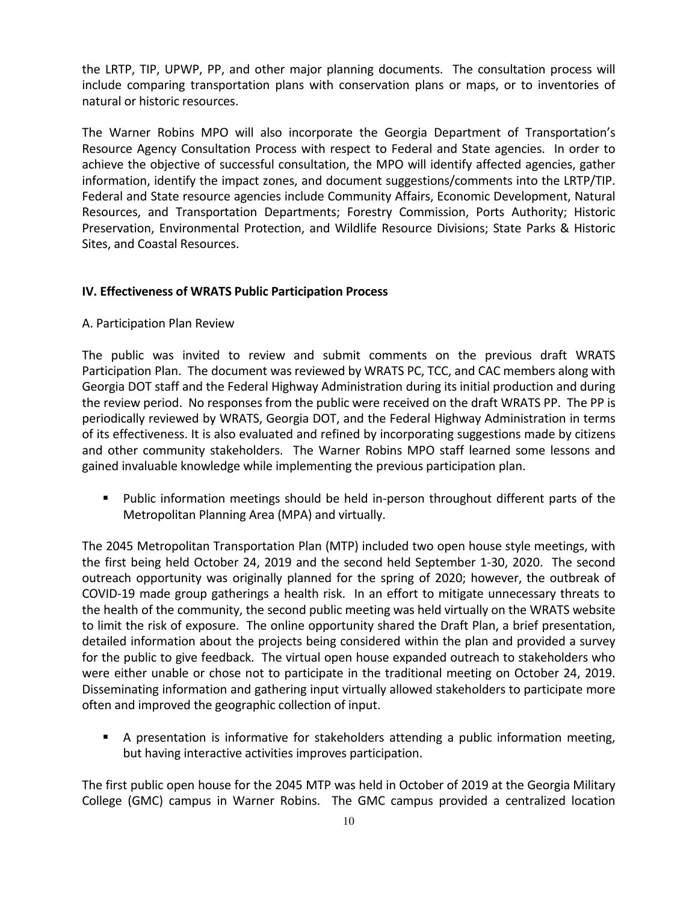the LRTP, TIP, UPWP, PP, and other major planning documents. The consultation process will include comparing transportation plans with conservation plans or maps, or to inventories of natural or historic resources.

The Warner Robins MPO will also incorporate the Georgia Department of Transportation's Resource Agency Consultation Process with respect to Federal and State agencies. In order to achieve the objective of successful consultation, the MPO will identify affected agencies, gather information, identify the impact zones, and document suggestions/comments into the LRTP/TIP. Federal and State resource agencies include Community Affairs, Economic Development, Natural Resources, and Transportation Departments; Forestry Commission, Ports Authority; Historic Preservation, Environmental Protection, and Wildlife Resource Divisions; State Parks & Historic Sites, and Coastal Resources.

## IV. Effectiveness of WRATS Public Participation Process

#### A. Participation Plan Review

The public was invited to review and submit comments on the previous draft WRATS Participation Plan. The document was reviewed by WRATS PC, TCC, and CAC members along with Georgia DOT staff and the Federal Highway Administration during its initial production and during the review period. No responses from the public were received on the draft WRATS PP. The PP is periodically reviewed by WRATS, Georgia DOT, and the Federal Highway Administration in terms of its effectiveness. It is also evaluated and refined by incorporating suggestions made by citizens and other community stakeholders. The Warner Robins MPO staff learned some lessons and gained invaluable knowledge while implementing the previous participation plan.

 Public information meetings should be held in-person throughout different parts of the Metropolitan Planning Area (MPA) and virtually.

The 2045 Metropolitan Transportation Plan (MTP) included two open house style meetings, with the first being held October 24, 2019 and the second held September 1-30, 2020. The second outreach opportunity was originally planned for the spring of 2020; however, the outbreak of COVID-19 made group gatherings a health risk. In an effort to mitigate unnecessary threats to the health of the community, the second public meeting was held virtually on the WRATS website to limit the risk of exposure. The online opportunity shared the Draft Plan, a brief presentation, detailed information about the projects being considered within the plan and provided a survey for the public to give feedback. The virtual open house expanded outreach to stakeholders who were either unable or chose not to participate in the traditional meeting on October 24, 2019. Disseminating information and gathering input virtually allowed stakeholders to participate more often and improved the geographic collection of input.

 A presentation is informative for stakeholders attending a public information meeting, but having interactive activities improves participation.

The first public open house for the 2045 MTP was held in October of 2019 at the Georgia Military College (GMC) campus in Warner Robins. The GMC campus provided a centralized location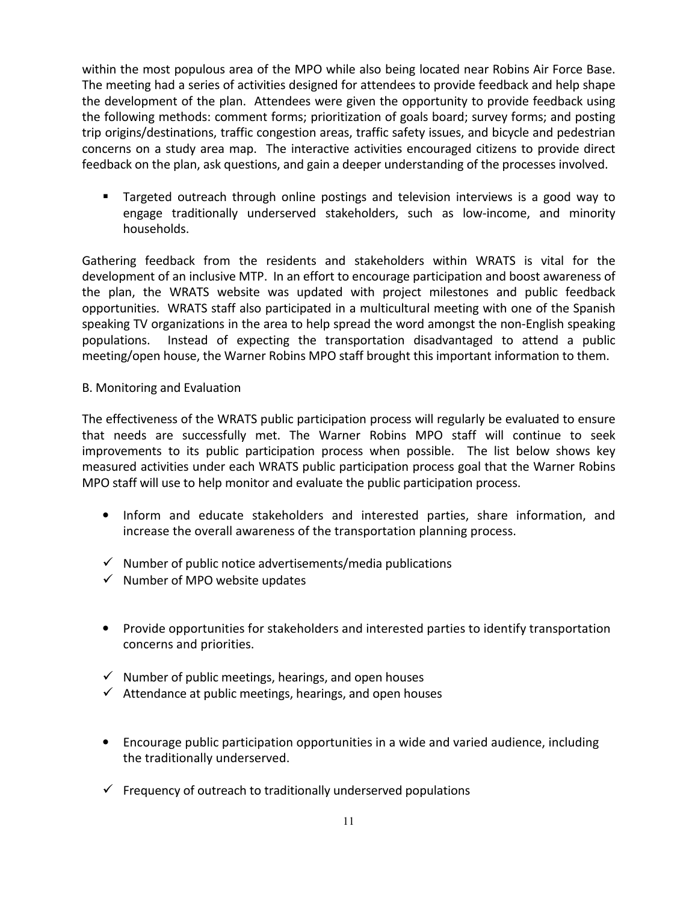within the most populous area of the MPO while also being located near Robins Air Force Base. The meeting had a series of activities designed for attendees to provide feedback and help shape the development of the plan. Attendees were given the opportunity to provide feedback using the following methods: comment forms; prioritization of goals board; survey forms; and posting trip origins/destinations, traffic congestion areas, traffic safety issues, and bicycle and pedestrian concerns on a study area map. The interactive activities encouraged citizens to provide direct feedback on the plan, ask questions, and gain a deeper understanding of the processes involved.

 Targeted outreach through online postings and television interviews is a good way to engage traditionally underserved stakeholders, such as low-income, and minority households.

Gathering feedback from the residents and stakeholders within WRATS is vital for the development of an inclusive MTP. In an effort to encourage participation and boost awareness of the plan, the WRATS website was updated with project milestones and public feedback opportunities. WRATS staff also participated in a multicultural meeting with one of the Spanish speaking TV organizations in the area to help spread the word amongst the non-English speaking populations. Instead of expecting the transportation disadvantaged to attend a public meeting/open house, the Warner Robins MPO staff brought this important information to them.

## B. Monitoring and Evaluation

The effectiveness of the WRATS public participation process will regularly be evaluated to ensure that needs are successfully met. The Warner Robins MPO staff will continue to seek improvements to its public participation process when possible. The list below shows key measured activities under each WRATS public participation process goal that the Warner Robins MPO staff will use to help monitor and evaluate the public participation process.

- Inform and educate stakeholders and interested parties, share information, and increase the overall awareness of the transportation planning process.
- $\checkmark$  Number of public notice advertisements/media publications
- $\checkmark$  Number of MPO website updates
- Provide opportunities for stakeholders and interested parties to identify transportation concerns and priorities.
- Number of public meetings, hearings, and open houses
- Attendance at public meetings, hearings, and open houses
- Encourage public participation opportunities in a wide and varied audience, including the traditionally underserved.
- Frequency of outreach to traditionally underserved populations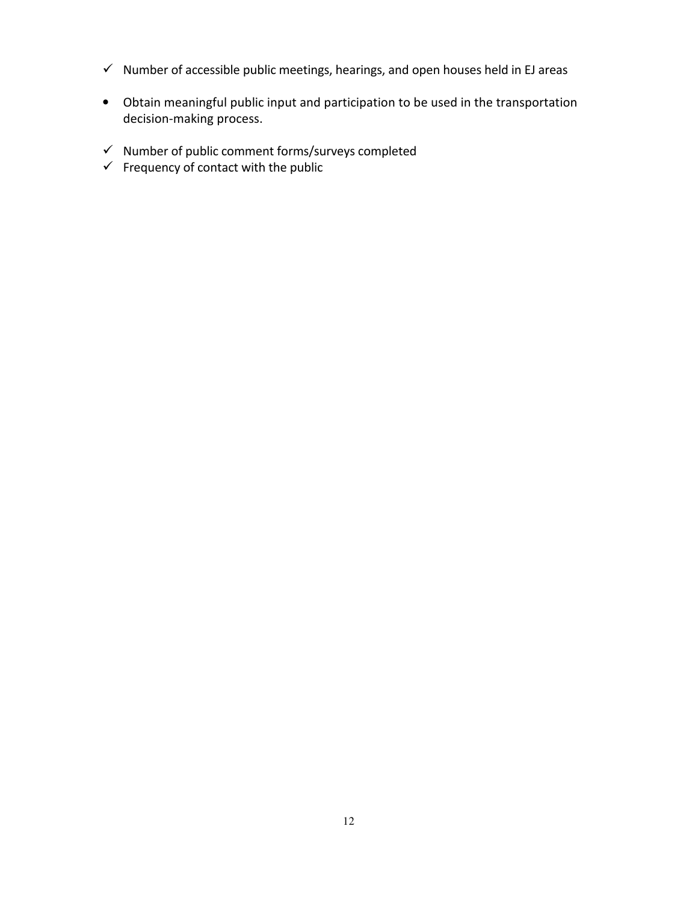- $\checkmark$  Number of accessible public meetings, hearings, and open houses held in EJ areas
- Obtain meaningful public input and participation to be used in the transportation decision-making process.
- Number of public comment forms/surveys completed
- $\checkmark$  Frequency of contact with the public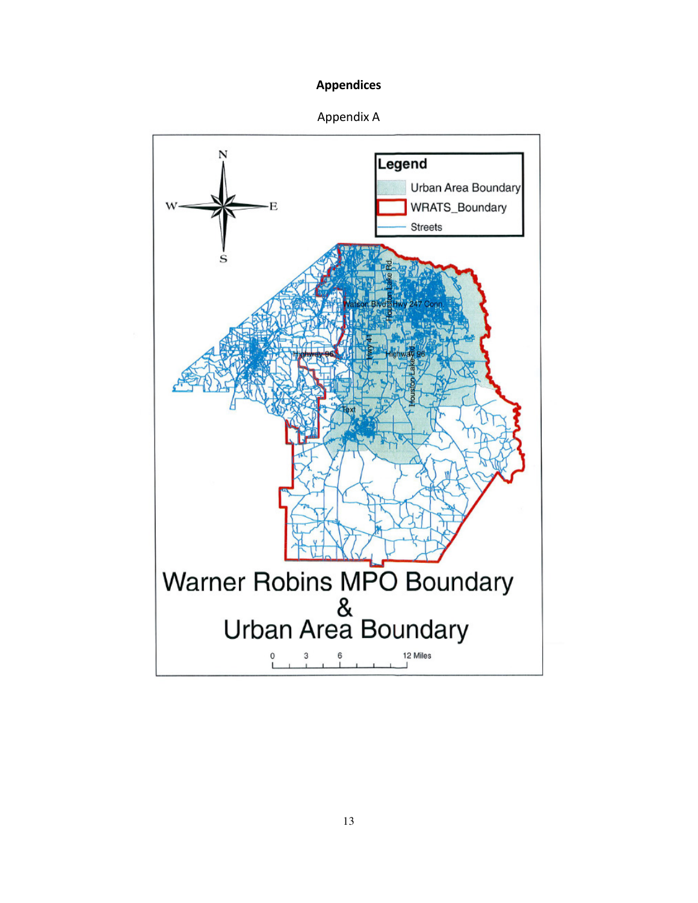## Appendices



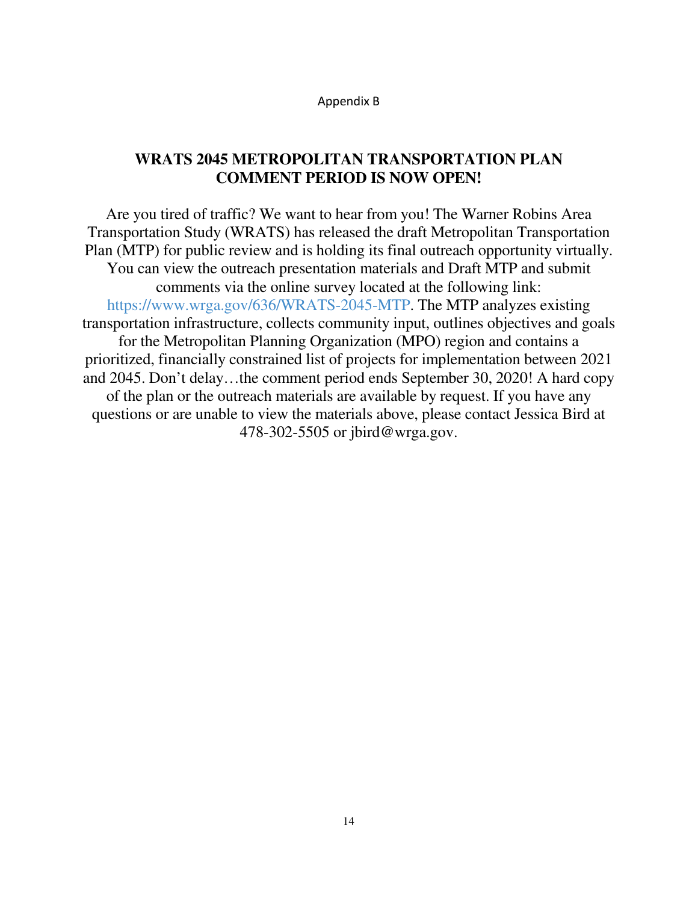Appendix B

## **WRATS 2045 METROPOLITAN TRANSPORTATION PLAN COMMENT PERIOD IS NOW OPEN!**

Are you tired of traffic? We want to hear from you! The Warner Robins Area Transportation Study (WRATS) has released the draft Metropolitan Transportation Plan (MTP) for public review and is holding its final outreach opportunity virtually. You can view the outreach presentation materials and Draft MTP and submit comments via the online survey located at the following link: https://www.wrga.gov/636/WRATS-2045-MTP. The MTP analyzes existing transportation infrastructure, collects community input, outlines objectives and goals for the Metropolitan Planning Organization (MPO) region and contains a prioritized, financially constrained list of projects for implementation between 2021 and 2045. Don't delay…the comment period ends September 30, 2020! A hard copy of the plan or the outreach materials are available by request. If you have any questions or are unable to view the materials above, please contact Jessica Bird at 478-302-5505 or jbird@wrga.gov.